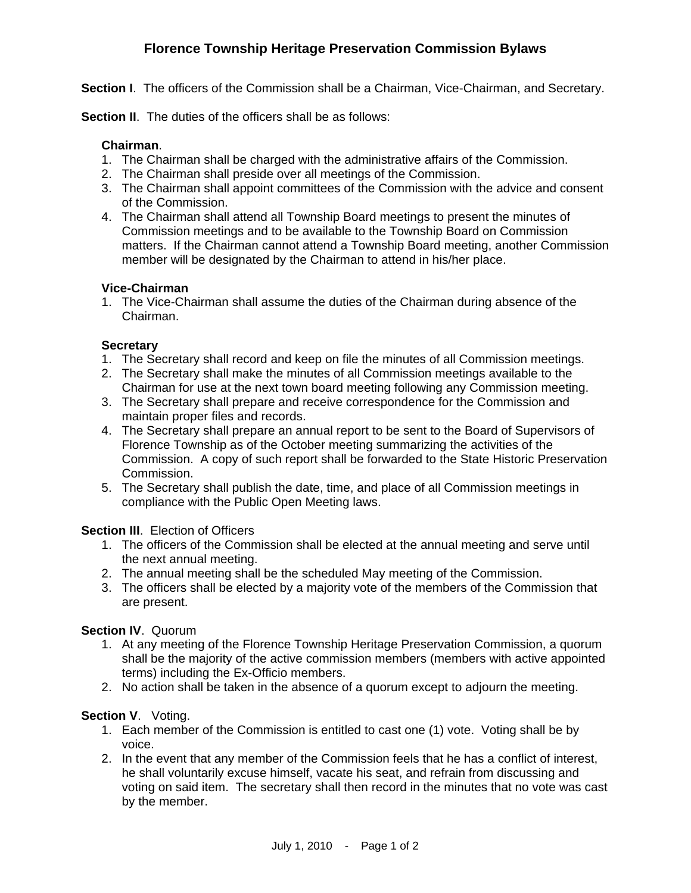# **Florence Township Heritage Preservation Commission Bylaws**

**Section I.** The officers of the Commission shall be a Chairman, Vice-Chairman, and Secretary.

**Section II.** The duties of the officers shall be as follows:

#### **Chairman**.

- 1. The Chairman shall be charged with the administrative affairs of the Commission.
- 2. The Chairman shall preside over all meetings of the Commission.
- 3. The Chairman shall appoint committees of the Commission with the advice and consent of the Commission.
- 4. The Chairman shall attend all Township Board meetings to present the minutes of Commission meetings and to be available to the Township Board on Commission matters. If the Chairman cannot attend a Township Board meeting, another Commission member will be designated by the Chairman to attend in his/her place.

#### **Vice-Chairman**

1. The Vice-Chairman shall assume the duties of the Chairman during absence of the Chairman.

#### **Secretary**

- 1. The Secretary shall record and keep on file the minutes of all Commission meetings.
- 2. The Secretary shall make the minutes of all Commission meetings available to the Chairman for use at the next town board meeting following any Commission meeting.
- 3. The Secretary shall prepare and receive correspondence for the Commission and maintain proper files and records.
- 4. The Secretary shall prepare an annual report to be sent to the Board of Supervisors of Florence Township as of the October meeting summarizing the activities of the Commission. A copy of such report shall be forwarded to the State Historic Preservation Commission.
- 5. The Secretary shall publish the date, time, and place of all Commission meetings in compliance with the Public Open Meeting laws.

## **Section III.** Election of Officers

- 1. The officers of the Commission shall be elected at the annual meeting and serve until the next annual meeting.
- 2. The annual meeting shall be the scheduled May meeting of the Commission.
- 3. The officers shall be elected by a majority vote of the members of the Commission that are present.

## **Section IV**. Quorum

- 1. At any meeting of the Florence Township Heritage Preservation Commission, a quorum shall be the majority of the active commission members (members with active appointed terms) including the Ex-Officio members.
- 2. No action shall be taken in the absence of a quorum except to adjourn the meeting.

## **Section V**. Voting.

- 1. Each member of the Commission is entitled to cast one (1) vote. Voting shall be by voice.
- 2. In the event that any member of the Commission feels that he has a conflict of interest, he shall voluntarily excuse himself, vacate his seat, and refrain from discussing and voting on said item. The secretary shall then record in the minutes that no vote was cast by the member.